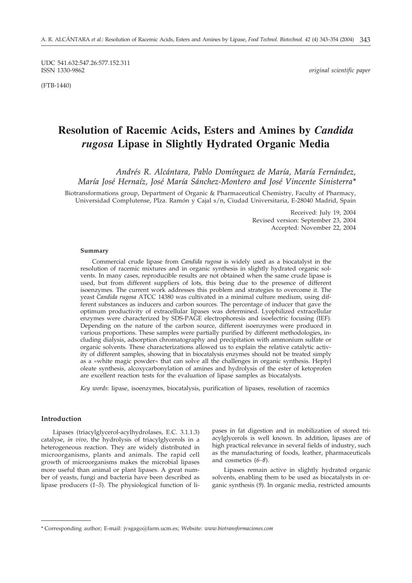UDC 541.632:547.26:577.152.311 ISSN 1330-9862 *original scientific paper*

(FTB-1440)

# **Resolution of Racemic Acids, Esters and Amines by** *Candida rugosa* **Lipase in Slightly Hydrated Organic Media**

*Andrés R. Alcántara, Pablo Domínguez de María, María Fernández, María José Hernaíz, José María Sánchez-Montero and José Vincente Sinisterra\**

Biotransformations group, Department of Organic & Pharmaceutical Chemistry, Faculty of Pharmacy, Universidad Complutense, Plza. Ramón y Cajal s/n, Ciudad Universitaria, E-28040 Madrid, Spain

> Received: July 19, 2004 Revised version: September 23, 2004 Accepted: November 22, 2004

#### **Summary**

Commercial crude lipase from *Candida rugosa* is widely used as a biocatalyst in the resolution of racemic mixtures and in organic synthesis in slightly hydrated organic solvents. In many cases, reproducible results are not obtained when the same crude lipase is used, but from different suppliers of lots, this being due to the presence of different isoenzymes. The current work addresses this problem and strategies to overcome it. The yeast *Candida rugosa* ATCC 14380 was cultivated in a minimal culture medium, using different substances as inducers and carbon sources. The percentage of inducer that gave the optimum productivity of extracellular lipases was determined. Lyophilized extracellular enzymes were characterized by SDS-PAGE electrophoresis and isoelectric focusing (IEF). Depending on the nature of the carbon source, different isoenzymes were produced in various proportions. These samples were partially purified by different methodologies, including dialysis, adsorption chromatography and precipitation with ammonium sulfate or organic solvents. These characterizations allowed us to explain the relative catalytic activity of different samples, showing that in biocatalysis enzymes should not be treated simply as a »white magic powder« that can solve all the challenges in organic synthesis. Heptyl oleate synthesis, alcoxycarbonylation of amines and hydrolysis of the ester of ketoprofen are excellent reaction tests for the evaluation of lipase samples as biocatalysts.

*Key words*: lipase, isoenzymes, biocatalysis, purification of lipases, resolution of racemics

#### **Introduction**

Lipases (triacylglycerol-acylhydrolases, E.C. 3.1.1.3) catalyse, *in vivo*, the hydrolysis of triacylglycerols in a heterogeneous reaction. They are widely distributed in microorganisms, plants and animals. The rapid cell growth of microorganisms makes the microbial lipases more useful than animal or plant lipases. A great number of yeasts, fungi and bacteria have been described as lipase producers (*1–5*). The physiological function of lipases in fat digestion and in mobilization of stored triacylglycerols is well known. In addition, lipases are of high practical relevance in several fields of industry, such as the manufacturing of foods, leather, pharmaceuticals and cosmetics (*6–8*).

Lipases remain active in slightly hydrated organic solvents, enabling them to be used as biocatalysts in organic synthesis (*9*). In organic media, restricted amounts

<sup>\*</sup> Corresponding author; E-mail: jvsgago*@*farm.ucm.es; Website: *www.biotransformaciones.com*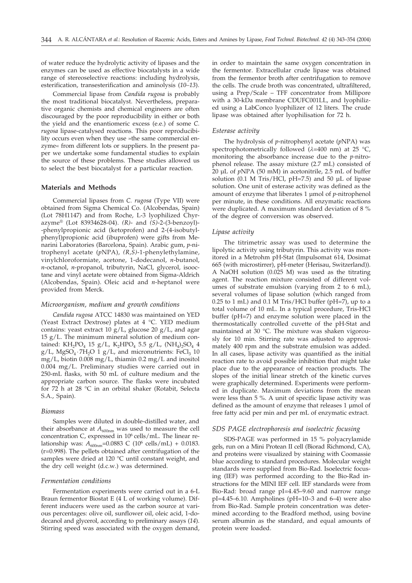of water reduce the hydrolytic activity of lipases and the enzymes can be used as effective biocatalysts in a wide range of stereoselective reactions: including hydrolysis, esterification, transesterification and aminolysis (*10–13*).

Commercial lipase from *Candida rugosa* is probably the most traditional biocatalyst. Nevertheless, preparative organic chemists and chemical engineers are often discouraged by the poor reproducibility in either or both the yield and the enantiomeric excess (e.e.) of some *C. rugosa* lipase-catalysed reactions. This poor reproducibility occurs even when they use »the same commercial enzyme« from different lots or suppliers. In the present paper we undertake some fundamental studies to explain the source of these problems. These studies allowed us to select the best biocatalyst for a particular reaction.

#### **Materials and Methods**

Commercial lipases from *C. rugosa* (Type VII) were obtained from Sigma Chemical Co. (Alcobendas, Spain) (Lot 78H1147) and from Roche, L-3 lyophilized Chyrazyme® (Lot 83934628-04). *(R)*- and *(S)*-2-(3-benzoyl)- -phenylpropionic acid (ketoprofen) and 2-(4-isobutylphenyl)propionic acid (ibuprofen) were gifts from Menarini Laboratories (Barcelona, Spain). Arabic gum, *p*-nitrophenyl acetate (*p*NPA), *(R,S)*-1-phenylethylamine, vinylchloroformiate, acetone, 1-dodecanol, *n*-butanol, *n*-octanol, *n*-propanol, tributyrin, NaCl, glycerol, isooctane and vinyl acetate were obtained from Sigma-Aldrich (Alcobendas, Spain). Oleic acid and *n*-heptanol were provided from Merck.

#### *Microorganism, medium and growth conditions*

*Candida rugosa* ATCC 14830 was maintained on YED (Yeast Extract Dextrose) plates at 4 °C. YED medium contains: yeast extract 10  $g/L$ , glucose 20  $g/L$ , and agar 15 g/L. The minimum mineral solution of medium contained: KH<sub>2</sub>PO<sub>4</sub> 15 g/L, K<sub>2</sub>HPO<sub>4</sub> 5.5 g/L, (NH<sub>4</sub>)<sub>2</sub>SO<sub>4</sub> 4 g/L, MgSO<sub>4</sub> $\cdot$ 7H<sub>2</sub>O 1 g/L, and micronutrients: FeCl<sub>3</sub> 10 mg/L, biotin 0.008 mg/L, thiamin 0.2 mg/L and inositol 0.004 mg/L. Preliminary studies were carried out in 250-mL flasks, with 50 mL of culture medium and the appropriate carbon source. The flasks were incubated for 72 h at 28 °C in an orbital shaker (Rotabit, Selecta S.A., Spain).

### *Biomass*

Samples were diluted in double-distilled water, and their absorbance at  $A_{600nm}$  was used to measure the cell concentration C, expressed in  $10^6$  cells/mL. The linear relationship was:  $A_{600nm}$ =0.0883 C (10<sup>6</sup> cells/mL) + 0.0183. (r=0.998). The pellets obtained after centrifugation of the samples were dried at 120 °C until constant weight, and the dry cell weight (d.c.w.) was determined.

#### *Fermentation conditions*

Fermentation experiments were carried out in a 6-L Braun fermentor Biostat E (4 L of working volume). Different inducers were used as the carbon source at various percentages: olive oil, sunflower oil, oleic acid, 1-dodecanol and glycerol, according to preliminary assays (*14*). Stirring speed was associated with the oxygen demand, in order to maintain the same oxygen concentration in the fermentor. Extracellular crude lipase was obtained from the fermentor broth after centrifugation to remove the cells. The crude broth was concentrated, ultrafiltered, using a Prep/Scale – TFF concentrator from Millipore with a 30-kDa membrane CDUFC001LL, and lyophilized using a LabConco lyophilizer of 12 liters. The crude lipase was obtained after lyophilisation for 72 h.

### *Esterase activity*

The hydrolysis of *p*-nitrophenyl acetate (*p*NPA) was spectrophotometrically followed ( $\lambda$ =400 nm) at 25 °C, monitoring the absorbance increase due to the *p-*nitrophenol release. The assay mixture (2.7 mL) consisted of 20 µL of *p*NPA (50 mM) in acetonitrile, 2.5 mL of buffer solution (0.1 M Tris/HCl, pH=7.5) and 50 µL of lipase solution. One unit of esterase activity was defined as the amount of enzyme that liberates 1 µmol of *p*-nitrophenol per minute, in these conditions. All enzymatic reactions were duplicated. A maximum standard deviation of 8 % of the degree of conversion was observed.

#### *Lipase activity*

The titrimetric assay was used to determine the lipolytic activity using tributyrin. This activity was monitored in a Metrohm pH-Stat (Impulsomat 614, Dosimat 665 (with microstirrer), pH-meter (Herisau, Switzerland)). A NaOH solution (0.025 M) was used as the titrating agent. The reaction mixture consisted of different volumes of substrate emulsion (varying from 2 to 6 mL), several volumes of lipase solution (which ranged from 0.25 to 1 mL) and 0.1 M Tris/HCl buffer (pH=7), up to a total volume of 10 mL. In a typical procedure, Tris-HCl buffer (pH=7) and enzyme solution were placed in the thermostatically controlled cuvette of the pH-Stat and maintained at 30 °C. The mixture was shaken vigorously for 10 min. Stirring rate was adjusted to approximately 400 rpm and the substrate emulsion was added. In all cases, lipase activity was quantified as the initial reaction rate to avoid possible inhibition that might take place due to the appearance of reaction products. The slopes of the initial linear stretch of the kinetic curves were graphically determined. Experiments were performed in duplicate. Maximum deviations from the mean were less than 5 %. A unit of specific lipase activity was defined as the amount of enzyme that releases 1 µmol of free fatty acid per min and per mL of enzymatic extract.

#### *SDS PAGE electrophoresis and isoelectric focusing*

SDS-PAGE was performed in 15 % polyacrylamide gels, run on a Mini Protean II cell (Biorad Richmond, CA), and proteins were visualized by staining with Coomassie blue according to standard procedures. Molecular weight standards were supplied from Bio-Rad. Isoelectric focusing (IEF) was performed according to the Bio-Rad instructions for the MINI IEF cell. IEF standards were from Bio-Rad: broad range pI=4.45–9.60 and narrow range pI=4.45–6.10. Ampholines (pH=10–3 and 6–4) were also from Bio-Rad. Sample protein concentration was determined according to the Bradford method, using bovine serum albumin as the standard, and equal amounts of protein were loaded.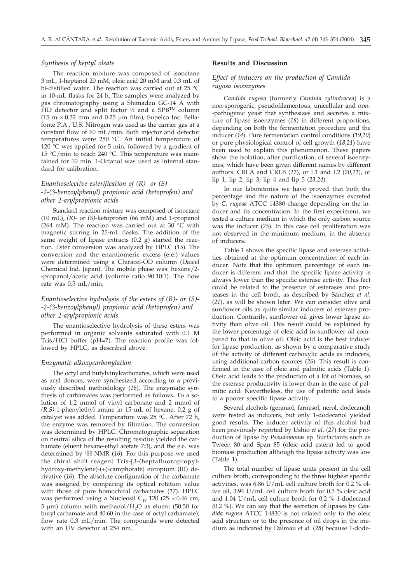### *Synthesis of heptyl oleate*

The reaction mixture was composed of isooctane 3 mL, 1-heptanol 20 mM, oleic acid 20 mM and 0.3 mL of bi-distilled water. The reaction was carried out at 25 °C in 10-mL flasks for 24 h. The samples were analyzed by gas chromatography using a Shimadzu GC-14 A with FID detector and split factor ½ and a SPBTM column ( $15 \text{ m} \times 0.32 \text{ mm}$  and  $0.25 \text{ \mu m}$  film), Supelco Inc. Bellafonte P.A., U.S. Nitrogen was used as the carrier gas at a constant flow of 60 mL/min. Both injector and detector temperatures were 250 °C. An initial temperature of 120 °C was applied for 5 min, followed by a gradient of 15 °C/min to reach 240 °C. This temperature was maintained for 10 min. 1-Octanol was used as internal standard for calibration.

### *Enantioselective esterification of (R)- or (S)- -2-(3-benzoylphenyl) propionic acid (ketoprofen) and other 2-arylpropionic acids*

Standard reaction mixture was composed of isooctane (10 mL), *(R)*- or *(S)*-ketoprofen (66 mM) and 1-propanol (264 mM). The reaction was carried out at 30 °C with magnetic stirring in 25-mL flasks. The addition of the same weight of lipase extracts (0.2 g) started the reaction. Ester conversion was analyzed by HPLC (*15*). The conversion and the enantiomeric excess (e.e.) values were determined using a Chiracel-OD column (Daicel Chemical Ind. Japan). The mobile phase was: hexane/2- -propanol/acetic acid (volume ratio 90:10:1). The flow rate was 0.5 mL/min.

### *Enantioselective hydrolysis of the esters of (R)- or (S)- -2-(3-benzoylphenyl) propionic acid (ketoprofen) and other 2-arylpropionic acids*

The enantioselective hydrolysis of these esters was performed in organic solvents saturated with 0.1 M Tris/HCl buffer (pH=7). The reaction profile was followed by HPLC, as described above.

#### *Enzymatic alkoxycarbonylation*

The octyl and butylvinylcarbonates, which were used as acyl donors, were synthesized according to a previously described methodology (*16*). The enzymatic synthesis of carbamates was performed as follows. To a solution of 1.2 mmol of vinyl carbonate and 2 mmol of *(R,S)*-1-phenylethyl amine in 15 mL of hexane, 0.2 g of catalyst was added. Temperature was 25 °C. After 72 h, the enzyme was removed by filtration. The conversion was determined by HPLC. Chromatographic separation on neutral silica of the resulting residue yielded the carbamate (eluent hexane-ethyl acetate 7:3), and the e.e. was determined by 1H-NMR (*16*). For this purpose we used the chiral shift reagent Tris-[3-(heptafluoropropylhydroxy-methylene)-(+)-camphorate] europium (III) derivative (*16*). The absolute configuration of the carbamate was assigned by comparing its optical rotation value with those of pure homochiral carbamates (*17*). HPLC was performed using a Nucleosil  $C_{18}$  120 (25  $\times$  0.46 cm,  $5 \mu m$ ) column with methanol/H<sub>2</sub>O as eluent (50:50 for butyl carbamate and 40:60 in the case of octyl carbamate); flow rate 0.3 mL/min. The compounds were detected with an UV detector at 254 nm.

### **Results and Discussion**

### *Effect of inducers on the production of Candida rugosa isoenzymes*

*Candida rugosa* (formerly *Candida cylindracea*) is a non-sporogenic, pseudofilamentous, unicellular and non- -pathogenic yeast that synthesizes and secretes a mixture of lipase isoenzymes (*18*) in different proportions, depending on both the fermentation procedure and the inducer (*14*). Pure fermentation control conditions (*19,20*) or pure physiological control of cell growth (*18,21*) have been used to explain this phenomenon. These papers show the isolation, after purification, of several isoenzymes, which have been given different names by different authors: CRLA and CRLB (*22*), or L1 and L2 (*20,21*), or lip 1, lip 2, lip 3, lip 4 and lip 5 (*23,24*).

In our laboratories we have proved that both the percentage and the nature of the isoenzymes excreted by *C. rugosa* ATCC 14380 change depending on the inducer and its concentration. In the first experiment, we tested a culture medium in which the only carbon source was the inducer (*25*). In this case cell proliferation was not observed in the minimum medium, in the absence of inducers.

Table 1 shows the specific lipase and esterase activities obtained at the optimum concentration of each inducer. Note that the optimum percentage of each inducer is different and that the specific lipase activity is always lower than the specific esterase activity. This fact could be related to the presence of esterases and proteases in the cell broth, as described by Sánchez *et al.* (*21*), as will be shown later. We can consider olive and sunflower oils as quite similar inducers of esterase production. Contrarily, sunflower oil gives lower lipase activity than olive oil. This result could be explained by the lower percentage of oleic acid in sunflower oil compared to that in olive oil. Oleic acid is the best inducer for lipase production, as shown by a comparative study of the activity of different carboxylic acids as inducers, using additional carbon sources (*26*). This result is confirmed in the case of oleic and palmitic acids (Table 1). Oleic acid leads to the production of a lot of biomass, so the esterase productivity is lower than in the case of palmitic acid. Nevertheless, the use of palmitic acid leads to a poorer specific lipase activity.

Several alcohols (geraniol, farnesol, nerol, dodecanol) were tested as inducers, but only 1-dodecanol yielded good results. The inducer activity of this alcohol had been previously reported by Ushio *et al*. (*27*) for the production of lipase by *Pseudomonas* sp. Surfactants such as Tween 80 and Span 85 (oleic acid esters) led to good biomass production although the lipase activity was low (Table 1).

The total number of lipase units present in the cell culture broth, corresponding to the three highest specific activities, was  $6.86$  U/mL cell culture broth for 0.2 % olive oil, 3.94 U/mL cell culture broth for 0.5 % oleic acid and 1.04 U/mL cell culture broth for 0.2 % 1-dodecanol (0.2 %). We can say that the secretion of lipases by *Candida rugosa* ATCC 14830 is not related only to the oleic acid structure or to the presence of oil drops in the medium as indicated by Dalmau *et al.* (*28*) because 1-dode-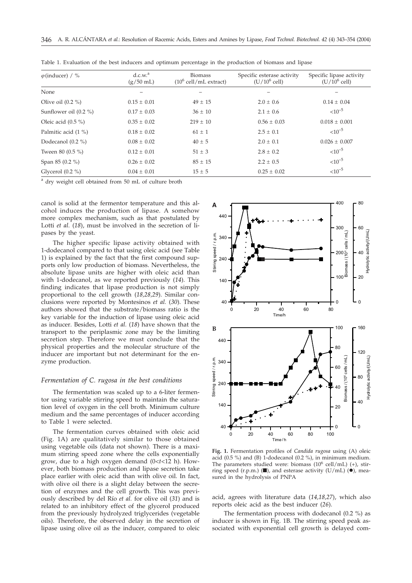| $\varphi$ (inducer) / % | d.c.w. <sup>a</sup><br>$(g/50$ mL) | <b>Biomass</b><br>$(10^6 \text{ cell/mL extract})$ | Specific esterase activity<br>$(U/10^6$ cell) | Specific lipase activity<br>$(U/10^6$ cell) |
|-------------------------|------------------------------------|----------------------------------------------------|-----------------------------------------------|---------------------------------------------|
| None                    |                                    |                                                    |                                               |                                             |
| Olive oil $(0.2 %$      | $0.15 \pm 0.01$                    | $49 \pm 15$                                        | $2.0 \pm 0.6$                                 | $0.14 \pm 0.04$                             |
| Sunflower oil $(0.2\%)$ | $0.17 + 0.03$                      | $36 \pm 10$                                        | $2.1 \pm 0.6$                                 | $< 10^{-5}$                                 |
| Oleic acid $(0.5\%)$    | $0.35 \pm 0.02$                    | $219 \pm 10$                                       | $0.56 \pm 0.03$                               | $0.018 \pm 0.001$                           |
| Palmitic acid (1 %)     | $0.18 \pm 0.02$                    | $61 \pm 1$                                         | $2.5 \pm 0.1$                                 | $< 10^{-5}$                                 |
| Dodecanol $(0.2\% )$    | $0.08 \pm 0.02$                    | $40 \pm 5$                                         | $2.0 \pm 0.1$                                 | $0.026 \pm 0.007$                           |
| Tween 80 $(0.5\% )$     | $0.12 \pm 0.01$                    | $51 \pm 3$                                         | $2.8 \pm 0.2$                                 | $< 10^{-5}$                                 |
| Span 85 (0.2 %)         | $0.26 \pm 0.02$                    | $85 \pm 15$                                        | $2.2 \pm 0.5$                                 | $10^{-5}$                                   |
| Glycerol $(0.2\% )$     | $0.04 \pm 0.01$                    | $15 \pm 5$                                         | $0.25 \pm 0.02$                               | $<10^{-5}$                                  |

Table 1. Evaluation of the best inducers and optimum percentage in the production of biomass and lipase

<sup>a</sup> dry weight cell obtained from 50 mL of culture broth

canol is solid at the fermentor temperature and this alcohol induces the production of lipase. A somehow more complex mechanism, such as that postulated by Lotti *et al.* (18), must be involved in the secretion of lipases by the yeast.

The higher specific lipase activity obtained with 1-dodecanol compared to that using oleic acid (see Table 1) is explained by the fact that the first compound supports only low production of biomass. Nevertheless, the absolute lipase units are higher with oleic acid than with 1-dodecanol, as we reported previously (*14*). This finding indicates that lipase production is not simply proportional to the cell growth (*18,28,29*). Similar conclusions were reported by Montesinos *et al.* (*30*). These authors showed that the substrate/biomass ratio is the key variable for the induction of lipase using oleic acid as inducer. Besides, Lotti *et al.* (*18*) have shown that the transport to the periplasmic zone may be the limiting secretion step. Therefore we must conclude that the physical properties and the molecular structure of the inducer are important but not determinant for the enzyme production.

#### *Fermentation of C. rugosa in the best conditions*

The fermentation was scaled up to a 6-liter fermentor using variable stirring speed to maintain the saturation level of oxygen in the cell broth. Minimum culture medium and the same percentages of inducer according to Table 1 were selected.

The fermentation curves obtained with oleic acid (Fig. 1A) are qualitatively similar to those obtained using vegetable oils (data not shown). There is a maximum stirring speed zone where the cells exponentially grow, due to a high oxygen demand (0<*t*<12 h). However, both biomass production and lipase secretion take place earlier with oleic acid than with olive oil. In fact, with olive oil there is a slight delay between the secretion of enzymes and the cell growth. This was previously described by del Río *et al.* for olive oil (*31*) and is related to an inhibitory effect of the glycerol produced from the previously hydrolyzed triglycerides (vegetable oils). Therefore, the observed delay in the secretion of lipase using olive oil as the inducer, compared to oleic



**Fig. 1.** Fermentation profiles of *Candida rugosa* using (A) oleic acid (0.5 %) and (B) 1-dodecanol (0.2 %), in minimum medium. The parameters studied were: biomass  $(10^6 \text{ cell/mL})$  (+), stirring speed (r.p.m.) ( $\blacksquare$ ), and esterase activity (U/mL) ( $\blacksquare$ ), measured in the hydrolysis of PNPA

acid, agrees with literature data (*14,18,27*), which also reports oleic acid as the best inducer (*26*).

The fermentation process with dodecanol (0.2 %) as inducer is shown in Fig. 1B. The stirring speed peak associated with exponential cell growth is delayed com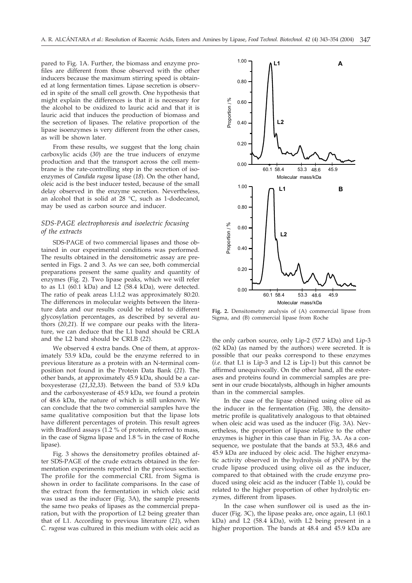pared to Fig. 1A. Further, the biomass and enzyme profiles are different from those observed with the other inducers because the maximum stirring speed is obtained at long fermentation times. Lipase secretion is observed in spite of the small cell growth. One hypothesis that might explain the differences is that it is necessary for the alcohol to be oxidized to lauric acid and that it is lauric acid that induces the production of biomass and the secretion of lipases. The relative proportion of the lipase isoenzymes is very different from the other cases, as will be shown later.

From these results, we suggest that the long chain carboxylic acids (*30*) are the true inducers of enzyme production and that the transport across the cell membrane is the rate-controlling step in the secretion of isoenzymes of *Candida rugosa* lipase (*18*). On the other hand, oleic acid is the best inducer tested, because of the small delay observed in the enzyme secretion. Nevertheless, an alcohol that is solid at 28 °C, such as 1-dodecanol, may be used as carbon source and inducer.

### *SDS-PAGE electrophoresis and isoelectric focusing of the extracts*

SDS-PAGE of two commercial lipases and those obtained in our experimental conditions was performed*.* The results obtained in the densitometric assay are presented in Figs. 2 and 3. As we can see, both commercial preparations present the same quality and quantity of enzymes (Fig. 2). Two lipase peaks, which we will refer to as L1 (60.1 kDa) and L2 (58.4 kDa), were detected. The ratio of peak areas L1:L2 was approximately 80:20. The differences in molecular weights between the literature data and our results could be related to different glycosylation percentages, as described by several authors (*20,21*). If we compare our peaks with the literature, we can deduce that the L1 band should be CRLA and the L2 band should be CRLB (*22*).

We observed 4 extra bands. One of them, at approximately 53.9 kDa, could be the enzyme referred to in previous literature as a protein with an N-terminal composition not found in the Protein Data Bank (*21*). The other bands, at approximately 45.9 kDa, should be a carboxyesterase (*21,32,33*). Between the band of 53.9 kDa and the carboxyesterase of 45.9 kDa, we found a protein of 48.6 kDa, the nature of which is still unknown. We can conclude that the two commercial samples have the same qualitative composition but that the lipase lots have different percentages of protein. This result agrees with Bradford assays (1.2 % of protein, referred to mass, in the case of Sigma lipase and 1.8 % in the case of Roche lipase).

Fig. 3 shows the densitometry profiles obtained after SDS-PAGE of the crude extracts obtained in the fermentation experiments reported in the previous section. The profile for the commercial CRL from Sigma is shown in order to facilitate comparisons. In the case of the extract from the fermentation in which oleic acid was used as the inducer (Fig. 3A), the sample presents the same two peaks of lipases as the commercial preparation, but with the proportion of L2 being greater than that of L1. According to previous literature (*21*), when *C. rugosa* was cultured in this medium with oleic acid as



**Fig. 2.** Densitometry analysis of (A) commercial lipase from Sigma, and (B) commercial lipase from Roche

the only carbon source, only Lip-2 (57.7 kDa) and Lip-3 (62 kDa) (as named by the authors) were secreted. It is possible that our peaks correspond to these enzymes (*i.e*. that L1 is Lip-3 and L2 is Lip-1) but this cannot be affirmed unequivocally. On the other hand, all the esterases and proteins found in commercial samples are present in our crude biocatalysts, although in higher amounts than in the commercial samples.

In the case of the lipase obtained using olive oil as the inducer in the fermentation (Fig. 3B), the densitometric profile is qualitatively analogous to that obtained when oleic acid was used as the inducer (Fig. 3A). Nevertheless, the proportion of lipase relative to the other enzymes is higher in this case than in Fig. 3A. As a consequence, we postulate that the bands at 53.3, 48.6 and 45.9 kDa are induced by oleic acid. The higher enzymatic activity observed in the hydrolysis of *p*NPA by the crude lipase produced using olive oil as the inducer, compared to that obtained with the crude enzyme produced using oleic acid as the inducer (Table 1), could be related to the higher proportion of other hydrolytic enzymes, different from lipases.

In the case when sunflower oil is used as the inducer (Fig. 3C), the lipase peaks are, once again, L1 (60.1 kDa) and L2 (58.4 kDa), with L2 being present in a higher proportion. The bands at 48.4 and 45.9 kDa are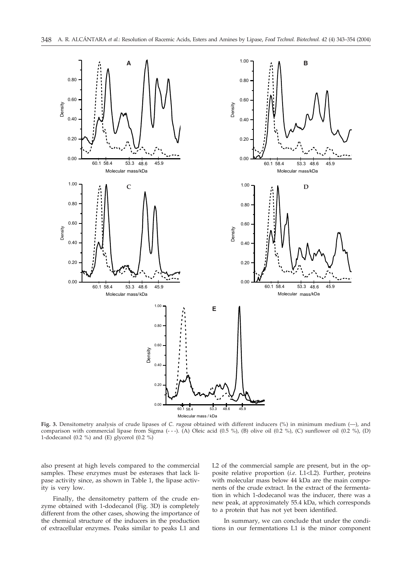

**Fig. 3.** Densitometry analysis of crude lipases of *C. rugosa* obtained with different inducers (%) in minimum medium (—), and comparison with commercial lipase from Sigma (- - -). (A) Oleic acid (0.5 %), (B) olive oil (0.2 %), (C) sunflower oil (0.2 %), (D) 1-dodecanol (0.2 %) and (E) glycerol (0.2 %)

also present at high levels compared to the commercial samples. These enzymes must be esterases that lack lipase activity since, as shown in Table 1, the lipase activity is very low.

Finally, the densitometry pattern of the crude enzyme obtained with 1-dodecanol (Fig. 3D) is completely different from the other cases, showing the importance of the chemical structure of the inducers in the production of extracellular enzymes. Peaks similar to peaks L1 and

L2 of the commercial sample are present, but in the opposite relative proportion (*i.e*. L1<L2). Further, proteins with molecular mass below 44 kDa are the main components of the crude extract. In the extract of the fermentation in which 1-dodecanol was the inducer, there was a new peak, at approximately 55.4 kDa, which corresponds to a protein that has not yet been identified.

In summary, we can conclude that under the conditions in our fermentations L1 is the minor component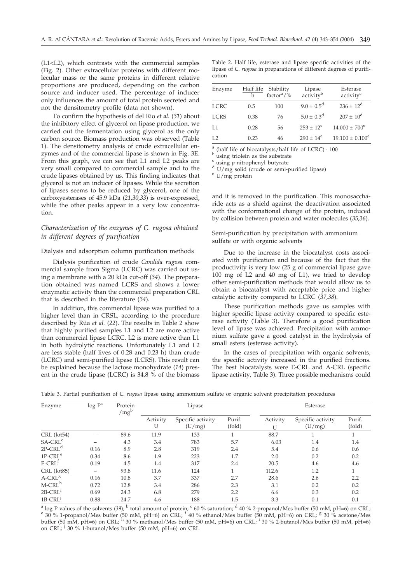(L1<L2), which contrasts with the commercial samples (Fig. 2). Other extracellular proteins with different molecular mass or the same proteins in different relative proportions are produced, depending on the carbon source and inducer used. The percentage of inducer only influences the amount of total protein secreted and not the densitometry profile (data not shown).

To confirm the hypothesis of del Rio *et al.* (*31*) about the inhibitory effect of glycerol on lipase production, we carried out the fermentation using glycerol as the only carbon source. Biomass production was observed (Table 1). The densitometry analysis of crude extracellular enzymes and of the commercial lipase is shown in Fig. 3E. From this graph, we can see that L1 and L2 peaks are very small compared to commercial sample and to the crude lipases obtained by us. This finding indicates that glycerol is not an inducer of lipases. While the secretion of lipases seems to be reduced by glycerol, one of the carboxyesterases of 45.9 kDa (*21,30,33*) is over-expressed, while the other peaks appear in a very low concentration.

### *Characterization of the enzymes of C. rugosa obtained in different degrees of purification*

#### Dialysis and adsorption column purification methods

Dialysis purification of crude *Candida rugosa* commercial sample from Sigma (LCRC) was carried out using a membrane with a 20 kDa cut-off (*34*). The preparation obtained was named LCRS and shows a lower enzymatic activity than the commercial preparation CRL that is described in the literature (*34*).

In addition, this commercial lipase was purified to a higher level than in CRSL, according to the procedure described by Rúa *et al.* (*22*). The results in Table 2 show that highly purified samples L1 and L2 are more active than commercial lipase LCRC. L2 is more active than L1 in both hydrolytic reactions. Unfortunately L1 and L2 are less stable (half lives of 0.28 and 0.23 h) than crude (LCRC) and semi-purified lipase (LCRS). This result can be explained because the lactose monohydrate (*14*) present in the crude lipase (LCRC) is 34.8 % of the biomass

Table 2. Half life, esterase and lipase specific activities of the lipase of *C. rugosa* in preparations of different degrees of purification

| Enzyme | Half life | Stability          |                                 | Esterase              |
|--------|-----------|--------------------|---------------------------------|-----------------------|
|        | h         | factor $\alpha$ /% | Lipase<br>activity <sup>b</sup> | activity <sup>c</sup> |
| LCRC   | 0.5       | 100                | $9.0 \pm 0.5^d$                 | $236 \pm 12^d$        |
| LCRS   | 0.38      | 76                 | $5.0 \pm 0.3^d$                 | $207 \pm 10^d$        |
| L1     | 0.28      | 56                 | $253 \pm 12^e$                  | $14.000 \pm 700^e$    |
| L2     | 0.23      | 46                 | $290 \pm 14^e$                  | $19.100 \pm 0.100^e$  |

a (half life of biocatalysts/half life of LCRC)  $\cdot$  100 b using triolein as the substrate c using *p*-nitrophenyl butyrate d U/mg solid (crude or semi-purified lipase) e U/mg protein

and it is removed in the purification. This monosaccharide acts as a shield against the deactivation associated with the conformational change of the protein, induced by collision between protein and water molecules (*35,36*).

Semi-purification by precipitation with ammonium sulfate or with organic solvents

Due to the increase in the biocatalyst costs associated with purification and because of the fact that the productivity is very low (25 g of commercial lipase gave 100 mg of L2 and 40 mg of L1), we tried to develop other semi-purification methods that would allow us to obtain a biocatalyst with acceptable price and higher catalytic activity compared to LCRC (*37,38*).

These purification methods gave us samples with higher specific lipase activity compared to specific esterase activity (Table 3). Therefore a good purification level of lipase was achieved. Precipitation with ammonium sulfate gave a good catalyst in the hydrolysis of small esters (esterase activity).

In the cases of precipitation with organic solvents, the specific activity increased in the purified fractions. The best biocatalysts were E-CRL and A-CRL (specific lipase activity, Table 3). Three possible mechanisms could

| Table 3. Partial purification of C. rugosa lipase using ammonium sulfate or organic solvent precipitation procedures |  |  |  |  |  |  |
|----------------------------------------------------------------------------------------------------------------------|--|--|--|--|--|--|
|----------------------------------------------------------------------------------------------------------------------|--|--|--|--|--|--|

| Enzyme             | $log P^a$       | Protein<br>$/mg^b$ | Lipase        |                             |                  | Esterase      |                             |                  |  |
|--------------------|-----------------|--------------------|---------------|-----------------------------|------------------|---------------|-----------------------------|------------------|--|
|                    |                 |                    | Activity<br>U | Specific activity<br>(U/mg) | Purif.<br>(fold) | Activity<br>U | Specific activity<br>(U/mg) | Purif.<br>(fold) |  |
| $CRL$ (lot 54)     |                 | 89.6               | 11.9          | 133                         |                  | 88.7          |                             |                  |  |
| $S A- C R Lc$      | -               | 4.3                | 3.4           | 783                         | 5.7              | 6.03          | 1.4                         | 1.4              |  |
| $2P-CRLd$          | 0.16            | 8.9                | 2.8           | 319                         | 2.4              | 5.4           | 0.6                         | 0.6              |  |
| $1P-CRLe$          | 0.34            | 8.6                | 1.9           | 223                         | 1.7              | 2.0           | 0.2                         | 0.2              |  |
| $E-CRLt$           | 0.19            | 4.5                | 1.4           | 317                         | 2.4              | 20.5          | 4.6                         | 4.6              |  |
| CRL (lot85)        | $\qquad \qquad$ | 93.8               | 11.6          | 124                         |                  | 112.6         | 1.2                         |                  |  |
| $A-CRLg$           | 0.16            | 10.8               | 3.7           | 337                         | 2.7              | 28.6          | 2.6                         | 2.2              |  |
| M-CRL <sup>h</sup> | 0.72            | 12.8               | 3.4           | 286                         | 2.3              | 3.1           | 0.2                         | 0.2              |  |
| $2B-CRL1$          | 0.69            | 24.3               | 6.8           | 279                         | 2.2              | 6.6           | 0.3                         | 0.2              |  |
| $1B-CRL$           | 0.88            | 24.7               | 4.6           | 188                         | 1.5              | 3.3           | 0.1                         | 0.1              |  |

<sup>a</sup> log P values of the solvents (39); <sup>b</sup> total amount of protein; <sup>c</sup> 60 % saturation; <sup>d</sup> 40 % 2-propanol/Mes buffer (50 mM, pH=6) on CRL; <sup>e</sup> 30 % 1-propanol/Mes buffer (50 mM, pH=6) on CRL; <sup>e</sup> 30 % acetone/Mes buffer (50 mM, pH=6) on CRL; h 30 % methanol/Mes buffer (50 mM, pH=6) on CRL; <sup>i</sup> 30 % 2-butanol/Mes buffer (50 mM, pH=6) on CRL; <sup>j</sup> 30 % 1-butanol/Mes buffer (50 mM, pH=6) on CRL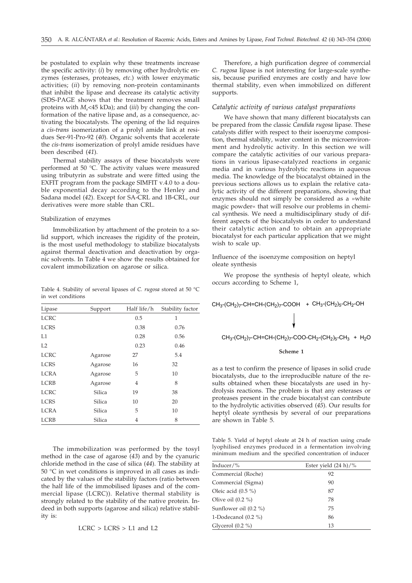be postulated to explain why these treatments increase the specific activity: (*i*) by removing other hydrolytic enzymes (esterases, proteases, *etc*.) with lower enzymatic activities; (*ii*) by removing non-protein contaminants that inhibit the lipase and decrease its catalytic activity (SDS-PAGE shows that the treatment removes small proteins with *M*r<45 kDa); and (*iii*) by changing the conformation of the native lipase and, as a consequence, activating the biocatalysts. The opening of the lid requires a *cis*-*trans* isomerization of a prolyl amide link at residues Ser-91-Pro-92 (*40*). Organic solvents that accelerate the *cis-trans* isomerization of prolyl amide residues have been described (*41*).

Thermal stability assays of these biocatalysts were performed at 50 °C. The activity values were measured using tributyrin as substrate and were fitted using the EXFIT program from the package SIMFIT v.4.0 to a double exponential decay according to the Henley and Sadana model (*42*). Except for SA-CRL and 1B-CRL, our derivatives were more stable than CRL.

#### Stabilization of enzymes

Immobilization by attachment of the protein to a solid support, which increases the rigidity of the protein, is the most useful methodology to stabilize biocatalysts against thermal deactivation and deactivation by organic solvents. In Table 4 we show the results obtained for covalent immobilization on agarose or silica.

Table 4. Stability of several lipases of *C. rugosa* stored at 50 °C in wet conditions

| Lipase      | Support       | Half life/h | Stability factor |
|-------------|---------------|-------------|------------------|
| <b>LCRC</b> |               | 0.5         | 1                |
| <b>LCRS</b> |               | 0.38        | 0.76             |
| L1          |               | 0.28        | 0.56             |
| L2          |               | 0.23        | 0.46             |
| <b>LCRC</b> | Agarose       | 27          | 5.4              |
| <b>LCRS</b> | Agarose       | 16          | 32               |
| <b>LCRA</b> | Agarose       | 5           | 10               |
| <b>LCRB</b> | Agarose       | 4           | 8                |
| <b>LCRC</b> | <b>Silica</b> | 19          | 38               |
| <b>LCRS</b> | <b>Silica</b> | 10          | 20               |
| <b>LCRA</b> | <b>Silica</b> | 5           | 10               |
| <b>LCRB</b> | Silica        | 4           | 8                |

The immobilization was performed by the tosyl method in the case of agarose (*43*) and by the cyanuric chloride method in the case of silica (*44*). The stability at 50 °C in wet conditions is improved in all cases as indicated by the values of the stability factors (ratio between the half life of the immobilised lipases and of the commercial lipase (LCRC)). Relative thermal stability is strongly related to the stability of the native protein. Indeed in both supports (agarose and silica) relative stability is:

$$
LCRC > LCRS > L1 and L2
$$

Therefore, a high purification degree of commercial *C. rugosa* lipase is not interesting for large-scale synthesis, because purified enzymes are costly and have low thermal stability, even when immobilized on different supports.

### *Catalytic activity of various catalyst preparations*

We have shown that many different biocatalysts can be prepared from the classic *Candida rugosa* lipase. These catalysts differ with respect to their isoenzyme composition, thermal stability, water content in the microenvironment and hydrolytic activity. In this section we will compare the catalytic activities of our various preparations in various lipase-catalyzed reactions in organic media and in various hydrolytic reactions in aqueous media. The knowledge of the biocatalyst obtained in the previous sections allows us to explain the relative catalytic activity of the different preparations, showing that enzymes should not simply be considered as a »white magic powder« that will resolve our problems in chemical synthesis. We need a multidisciplinary study of different aspects of the biocatalysts in order to understand their catalytic action and to obtain an appropriate biocatalyst for each particular application that we might wish to scale up.

### Influence of the isoenzyme composition on heptyl oleate synthesis

We propose the synthesis of heptyl oleate, which occurs according to Scheme 1,

### $\mathrm{CH}_3$ -(CH $_2$ ) $_7$ -CH=CH-(CH $_2$ ) $_7$ -COOH + CH $_3$ -(CH $_2$ ) $_5$ -CH $_2$ -OH

### $CH_3$ -(CH<sub>2</sub>)<sub>7</sub>-CH=CH-(CH<sub>2</sub>)<sub>7</sub>-COO-CH<sub>2</sub>-(CH<sub>2</sub>)<sub>5</sub>-CH<sub>3</sub> + H<sub>2</sub>O

#### **Scheme 1**

as a test to confirm the presence of lipases in solid crude biocatalysts, due to the irreproducible nature of the results obtained when these biocatalysts are used in hydrolysis reactions. The problem is that any esterases or proteases present in the crude biocatalyst can contribute to the hydrolytic activities observed (*45*). Our results for heptyl oleate synthesis by several of our preparations are shown in Table 5.

Table 5. Yield of heptyl oleate at 24 h of reaction using crude lyophilised enzymes produced in a fermentation involving minimum medium and the specified concentration of inducer

| Inducer/ $\%$           | Ester yield $(24 h)/\%$ |
|-------------------------|-------------------------|
| Commercial (Roche)      | 92                      |
| Commercial (Sigma)      | 90                      |
| Oleic acid $(0.5\%)$    | 87                      |
| Olive oil $(0.2\% )$    | 78                      |
| Sunflower oil $(0.2 %)$ | 75                      |
| 1-Dodecanol $(0.2\%)$   | 86                      |
| Glycerol $(0.2\% )$     | 13                      |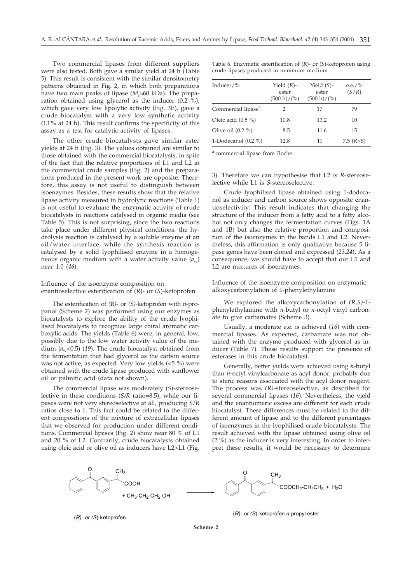Two commercial lipases from different suppliers were also tested. Both gave a similar yield at 24 h (Table 5). This result is consistent with the similar densitometry patterns obtained in Fig. 2, in which both preparations have two main peaks of lipase  $(M_r \approx 60 \text{ kDa})$ . The preparation obtained using glycerol as the inducer  $(0.2 \degree \%)$ , which gave very low lipolytic activity (Fig. 3E), gave a crude biocatalyst with a very low synthetic activity (13 % at 24 h). This result confirms the specificity of this assay as a test for catalytic activity of lipases.

The other crude biocatalysts gave similar ester yields at 24 h (Fig. 3). The values obtained are similar to those obtained with the commercial biocatalysts, in spite of the fact that the relative proportions of L1 and L2 in the commercial crude samples (Fig. 2) and the preparations produced in the present work are opposite. Therefore, this assay is not useful to distinguish between isoenzymes. Besides, these results show that the relative lipase activity measured in hydrolytic reactions (Table 1) is not useful to evaluate the enzymatic activity of crude biocatalysts in reactions catalysed in organic media (see Table 5). This is not surprising, since the two reactions take place under different physical conditions: the hydrolysis reaction is catalysed by a soluble enzyme at an oil/water interface, while the synthesis reaction is catalysed by a solid lyophilised enzyme in a homogeneous organic medium with a water activity value  $(a_w)$ near 1.0 (*46*).

### Influence of the isoenzyme composition on enantioselective esterification of (*R*)- or (*S*)-ketoprofen

The esterification of *(R)*- or *(S)-*ketoprofen with *n*-propanol (Scheme 2) was performed using our enzymes as biocatalysts to explore the ability of the crude lyophilised biocatalysts to recognize large chiral aromatic carboxylic acids. The yields (Table 6) were, in general, low, possibly due to the low water activity value of the medium  $(a_w<0.5)$  (19). The crude biocatalyst obtained from the fermentation that had glycerol as the carbon source was not active, as expected. Very low yields (<5 %) were obtained with the crude lipase produced with sunflower oil or palmitic acid (data not shown).

The commercial lipase was moderately (*S*)-stereoselective in these conditions (*S/R* ratio=8.5), while our lipases were not very stereoselective at all, producing *S*/*R* ratios close to 1. This fact could be related to the different compositions of the mixture of extracellular lipases that we observed for production under different conditions. Commercial lipases (Fig. 2) show near 80 % of L1 and 20 % of L2. Contrarily, crude biocatalysts obtained using oleic acid or olive oil as inducers have L2>L1 (Fig.

Table 6. Enzymatic esterification of (*R*)- or (*S*)-ketoprofen using crude lipases produced in minimum medium

| Inducer/%                      | Yield $(R)$ -<br>ester<br>$(500 h)/($ %) | Yield $(S)$ -<br>ester<br>$(500 h)/($ %) | e.e./%<br>(S/R) |
|--------------------------------|------------------------------------------|------------------------------------------|-----------------|
| Commercial lipase <sup>a</sup> | 2                                        | 17                                       | 79              |
| Oleic acid (0.5 %)             | 10.8                                     | 13.2                                     | 10              |
| Olive oil $(0.2 \%)$           | 8.5                                      | 11.6                                     | 15              |
| 1-Dodecanol (0.2 %)            | 12.8                                     | 11                                       | 7.5 $(R > S)$   |

<sup>a</sup> commercial lipase from Roche

3). Therefore we can hypothesise that L2 is *R-*stereoselective while L1 is *S*-stereoselective.

Crude lyophilised lipase obtained using 1-dodecanol as inducer and carbon source shows opposite enantioselectivity. This result indicates that changing the structure of the inducer from a fatty acid to a fatty alcohol not only changes the fermentation curves (Figs. 1A and 1B) but also the relative proportion and composition of the isoenzymes in the bands L1 and L2. Nevertheless, this affirmation is only qualitative because 5 lipase genes have been cloned and expressed (*23,24*). As a consequence, we should have to accept that our L1 and L2 are mixtures of isoenzymes.

Influence of the isoenzyme composition on enzymatic alkoxycarbonylation of 1-phenylethylamine

We explored the alkoxycarbonylation of *(R,S)*-1 phenylethylamine with *n*-butyl or *n*-octyl vinyl carbonate to give carbamates (Scheme 3).

Usually, a moderate e.e. is achieved (*16*) with commercial lipases. As expected, carbamate was not obtained with the enzyme produced with glycerol as inducer (Table 7). These results support the presence of esterases in this crude biocatalyst.

Generally, better yields were achieved using *n*-butyl than *n*-octyl vinylcarbonate as acyl donor, probably due to steric reasons associated with the acyl donor reagent. The process was *(R)*-stereoselective, as described for several commercial lipases (*16*). Nevertheless, the yield and the enantiomeric excess are different for each crude biocatalyst. These differences must be related to the different amount of lipase and to the different percentages of isoenzymes in the lyophilised crude biocatalysts. The result achieved with the lipase obtained using olive oil (2 %) as the inducer is very interesting. In order to interpret these results, it would be necessary to determine



(*R)- or (S*)-ketoprofen (*R)- or (S*)-ketoprofen *<sup>n</sup>*-propyl ester

**Scheme 2**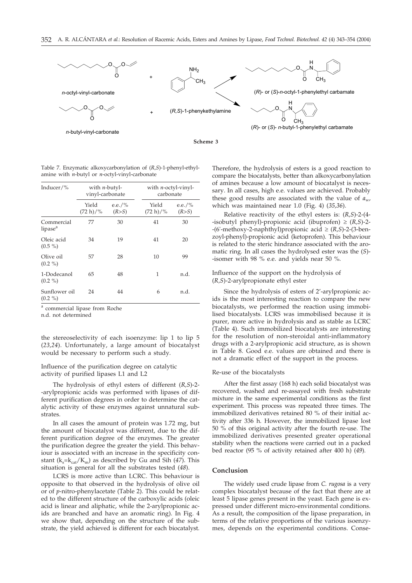

Table 7. Enzymatic alkoxycarbonylation of (*R,S*)-1-phenyl-ethylamine with *n*-butyl or *n*-octyl-vinyl-carbonate

| Inducer/ $\%$                     | with $n$ -butyl-<br>vinyl-carbonate |                 | with <i>n</i> -octyl-vinyl-<br>carbonate |                 |
|-----------------------------------|-------------------------------------|-----------------|------------------------------------------|-----------------|
|                                   | Yield<br>$(72 h)/\%$                | e.e./%<br>(R>S) | Yield<br>$(72 h)/\%$                     | e.e./%<br>(R>S) |
| Commercial<br>lipase <sup>a</sup> | 77                                  | 30              | 41                                       | 30              |
| Oleic acid<br>$(0.5\%)$           | 34                                  | 19              | 41                                       | 20              |
| Olive oil<br>$(0.2\% )$           | 57                                  | 28              | 10                                       | 99              |
| 1-Dodecanol<br>$(0.2\% )$         | 65                                  | 48              | 1                                        | n.d.            |
| Sunflower oil<br>$(0.2\% )$       | 24                                  | 44              | 6                                        | n.d.            |

<sup>a</sup> commercial lipase from Roche

n.d. not determined

the stereoselectivity of each isoenzyme: lip 1 to lip 5 (*23,24*). Unfortunately, a large amount of biocatalyst would be necessary to perform such a study.

### Influence of the purification degree on catalytic activity of purified lipases L1 and L2

The hydrolysis of ethyl esters of different (*R,S*)-2- -arylpropionic acids was performed with lipases of different purification degrees in order to determine the catalytic activity of these enzymes against unnatural substrates.

In all cases the amount of protein was 1.72 mg, but the amount of biocatalyst was different, due to the different purification degree of the enzymes. The greater the purification degree the greater the yield. This behaviour is associated with an increase in the specificity constant  $(k_s=k_{cat}/K_m)$  as described by Gu and Sih (47). This situation is general for all the substrates tested (*48*).

LCRS is more active than LCRC. This behaviour is opposite to that observed in the hydrolysis of olive oil or of *p*-nitro-phenylacetate (Table 2). This could be related to the different structure of the carboxylic acids (oleic acid is linear and aliphatic, while the 2-arylpropionic acids are branched and have an aromatic ring). In Fig. 4 we show that, depending on the structure of the substrate, the yield achieved is different for each biocatalyst. Therefore, the hydrolysis of esters is a good reaction to compare the biocatalysts, better than alkoxycarbonylation of amines because a low amount of biocatalyst is necessary. In all cases, high e.e. values are achieved. Probably these good results are associated with the value of  $a_{\rm w}$ , which was maintained near 1.0 (Fig. 4) (*35,36*).

Relative reactivity of the ethyl esters is: (*R,S*)-2-(4- -isobutyl phenyl)-propionic acid (ibuprofen)  $\geq (R,S)$ -2- $-(6'$ -methoxy-2-naphthyl)propionic acid  $\geq (R,S)$ -2-(3-benzoyl-phenyl)-propionic acid (ketoprofen). This behaviour is related to the steric hindrance associated with the aromatic ring. In all cases the hydrolysed ester was the (*S*)- -isomer with 98 % e.e. and yields near 50 %.

### Influence of the support on the hydrolysis of (*R,S*)-2-arylpropionate ethyl ester

Since the hydrolysis of esters of 2'-arylpropionic acids is the most interesting reaction to compare the new biocatalysts, we performed the reaction using immobilised biocatalysts. LCRS was immobilised because it is purer, more active in hydrolysis and as stable as LCRC (Table 4). Such immobilized biocatalysts are interesting for the resolution of non-steroidal anti-inflammatory drugs with a 2-arylpropionic acid structure, as is shown in Table 8. Good e.e. values are obtained and there is not a dramatic effect of the support in the process.

#### Re-use of the biocatalysts

After the first assay (168 h) each solid biocatalyst was recovered, washed and re-assayed with fresh substrate mixture in the same experimental conditions as the first experiment. This process was repeated three times. The immobilized derivatives retained 80 % of their initial activity after 336 h. However, the immobilized lipase lost 50 % of this original activity after the fourth re-use. The immobilized derivatives presented greater operational stability when the reactions were carried out in a packed bed reactor (95 % of activity retained after 400 h) (*49*).

#### **Conclusion**

The widely used crude lipase from *C. rugosa* is a very complex biocatalyst because of the fact that there are at least 5 lipase genes present in the yeast. Each gene is expressed under different micro-environmental conditions. As a result, the composition of the lipase preparation, in terms of the relative proportions of the various isoenzymes, depends on the experimental conditions. Conse-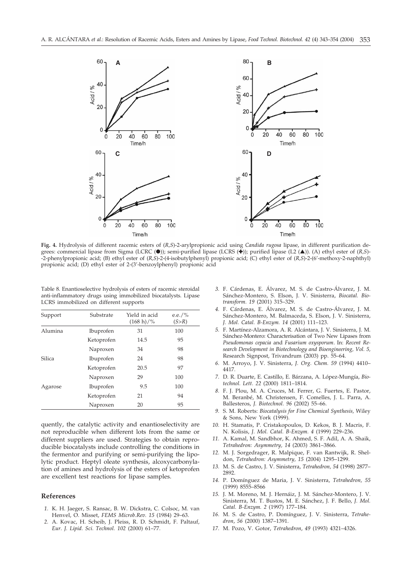

**Fig. 4.** Hydrolysis of different racemic esters of (*R,S*)-2-arylpropionic acid using *Candida rugosa* lipase, in different purification degrees: commercial lipase from Sigma (LCRC (.); semi-purified lipase (LCRS ( $\blacktriangle$ )); purified lipase (L2 ( $\blacktriangle$ )). (A) ethyl ester of (*R*,*S*)--2-phenylpropionic acid; (B) ethyl ester of (*R,S*)-2-(4-isobutylphenyl) propionic acid; (C) ethyl ester of (*R,S*)-2-(6'-methoxy-2-naphthyl) propionic acid; (D) ethyl ester of 2-(3'-benzoylphenyl) propionic acid

Table 8. Enantioselective hydrolysis of esters of racemic steroidal anti-inflammatory drugs using immobilized biocatalysts. Lipase LCRS immobilized on different supports

| Support       | Substrate  | Yield in acid<br>$(168 h)/\%$ | e.e./%<br>(S>R) |
|---------------|------------|-------------------------------|-----------------|
| Alumina       | Ibuprofen  | 31                            | 100             |
|               | Ketoprofen | 14.5                          | 95              |
|               | Naproxen   | 34                            | 98              |
| <b>Silica</b> | Ibuprofen  | 24                            | 98              |
|               | Ketoprofen | 20.5                          | 97              |
|               | Naproxen   | 29                            | 100             |
| Agarose       | Ibuprofen  | 9.5                           | 100             |
|               | Ketoprofen | 21                            | 94              |
|               | Naproxen   | 20                            | 95              |

quently, the catalytic activity and enantioselectivity are not reproducible when different lots from the same or different suppliers are used. Strategies to obtain reproducible biocatalysts include controlling the conditions in the fermentor and purifying or semi-purifying the lipolytic product. Heptyl oleate synthesis, alcoxycarbonylation of amines and hydrolysis of the esters of ketoprofen are excellent test reactions for lipase samples.

#### **References**

- *1.* K. H. Jaeger, S. Ransac, B. W. Dickstra, C. Colsoc, M. van Henvel, O. Misset, *FEMS Microb.Rev. 15* (1984) 29–63.
- *2.* A. Kovac, H. Scheib, J. Pleiss, R. D. Schmidt, F. Paltauf, *Eur. J. Lipid. Sci. Technol. 102* (2000) 61–77.
- *3.* F. Cárdenas, E. Álvarez, M. S. de Castro-Álvarez, J. M. Sánchez-Montero, S. Elson, J. V. Sinisterra, *Biocatal. Biotransform. 19* (2001) 315–329.
- *4.* F. Cárdenas, E. Álvarez, M. S. de Castro-Álvarez, J. M. Sánchez-Montero, M. Balmaceda, S. Elson, J. V. Sinisterra, *J. Mol. Catal. B-Enzym. 14* (2001) 111–123.
- *5.* F. Martínez-Alzamora, A. R. Alcántara, J. V. Sinisterra, J. M. Sánchez-Montero: Characterisation of Two New Lipases from *Pseudomonas cepacia* and *Fusarium oxysporum*. In: *Recent Research Development in Biotechnology and Bioengineering, Vol. 5,* Research Signpost, Trivandrum (2003) pp. 55–64.
- *6.* M. Arroyo, J. V. Sinisterra, *J. Org. Chem. 59* (1994) 4410– 4417.
- *7.* D. R. Duarte, E. Castillo, E. Bárzana, A. López-Mungía, *Biotechnol. Lett. 22* (2000) 1811–1814.
- *8.* F. J. Plou, M. A. Cruces, M. Ferrer, G. Fuertes, E. Pastor, M. Beranbé, M. Christensen, F. Comelles, J. L. Parra, A. Ballesteros, *J. Biotechnol. 96* (2002) 55–66.
- *9.* S. M. Roberts: *Biocatalysis for Fine Chemical Synthesis,* Wiley & Sons, New York (1999).
- *10.* H. Stamatis, P. Cristakopoulos, D. Kekos, B. J. Macris, F. N. Kolisis, *J. Mol. Catal. B-Enzym. 4* (1999) 229–236.
- *11.* A. Kamal, M. Sandbhor, K. Ahmed, S. F. Adil, A. A. Shaik, *Tetrahedron: Asymmetry, 14* (2003) 3861–3866.
- *12.* M. J. Sorgedrager, R. Malpique, F. van Rantwijk, R. Sheldon, *Tetrahedron: Asymmetry, 15* (2004) 1295–1299.
- *13.* M. S. de Castro, J. V. Sinisterra, *Tetrahedron, 54* (1998) 2877– 2892.
- *14.* P. Domínguez de Maria, J. V. Sinisterra, *Tetrahedron, 55* (1999) 8555–8566
- *15.* J. M. Moreno, M. J. Hernáiz, J. M. Sánchez-Montero, J. V. Sinisterra, M. T. Bustos, M. E. Sánchez, J. F. Bello, *J. Mol. Catal. B-Enzym. 2* (1997) 177–184.
- *16.* M. S. de Castro, P. Domínguez, J. V. Sinisterra, *Tetrahedron*, *56* (2000) 1387–1391.
- *17.* M. Pozo, V. Gotor, *Tetrahedron*, *49* (1993) 4321–4326.